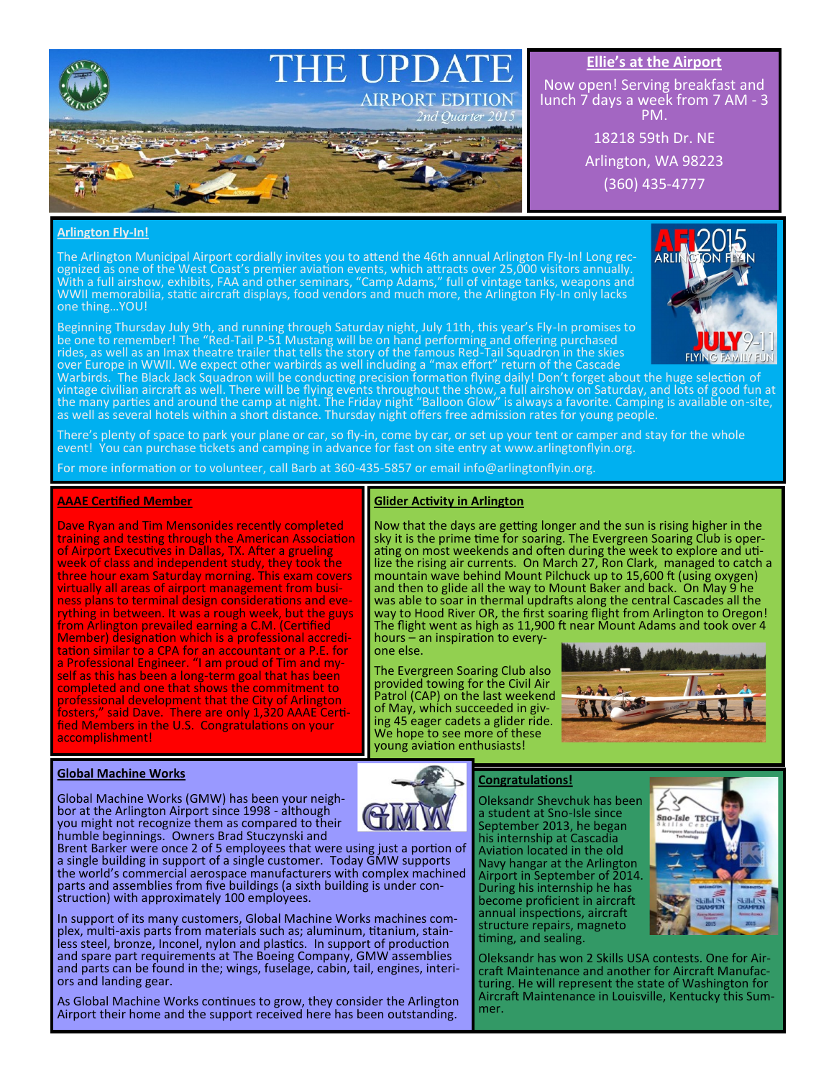

# **Ellie's at the Airport**

Now open! Serving breakfast and lunch 7 days a week from 7 AM - 3 PM.

> 18218 59th Dr. NE Arlington, WA 98223 (360) 435-4777

### **Arlington Fly-In!**

The Arlington Municipal Airport cordially invites you to attend the 46th annual Arlington Fly-In! Long recognized as one of the West Coast's premier aviation events, which attracts over 25,000 visitors annually. With a full airshow, exhibits, FAA and other seminars, "Camp Adams," full of vintage tanks, weapons and WWII memorabilia, static aircraft displays, food vendors and much more, the Arlington Fly-In only lacks one thing…YOU!

Beginning Thursday July 9th, and running through Saturday night, July 11th, this year's Fly-In promises to be one to remember! The "Red-Tail P-51 Mustang will be on hand performing and offering purchased rides, as well as an Imax theatre trailer that tells the story of the famous Red-Tail Squadron in the skies over Europe in WWII. We expect other warbirds as well including a "max effort" return of the Cascade

**ARLI** 

Warbirds. The Black Jack Squadron will be conducting precision formation flying daily! Don't forget about the huge selection of vintage civilian aircraft as well. There will be flying events throughout the show, a full airshow on Saturday, and lots of good fun at the many parties and around the camp at night. The Friday night "Balloon Glow" is always a favorite. Camping is available on-site, as well as several hotels within a short distance. Thursday night offers free admission rates for young people.

There's plenty of space to park your plane or car, so fly-in, come by car, or set up your tent or camper and stay for the whole event! You can purchase tickets and camping in advance for fast on site entry at www.arlingtonflyin.org.

For more information or to volunteer, call Barb at 360-435-5857 or email info@arlingtonflyin.org.

#### **AAAE Certified Member**

Dave Ryan and Tim Mensonides recently completed training and testing through the American Association of Airport Executives in Dallas, TX. After a grueling week of class and independent study, they took the three hour exam Saturday morning. This exam covers virtually all areas of airport management from business plans to terminal design considerations and everything in between. It was a rough week, but the guys from Arlington prevailed earning a C.M. (Certified Member) designation which is a professional accreditation similar to a CPA for an accountant or a P.E. for a Professional Engineer. "I am proud of Tim and myself as this has been a long-term goal that has been completed and one that shows the commitment to professional development that the City of Arlington fosters," said Dave. There are only 1,320 AAAE Certified Members in the U.S. Congratulations on your accomplishment!

#### **Glider Activity in Arlington**

Now that the days are getting longer and the sun is rising higher in the sky it is the prime time for soaring. The Evergreen Soaring Club is operating on most weekends and often during the week to explore and utilize the rising air currents. On March 27, Ron Clark, managed to catch a mountain wave behind Mount Pilchuck up to 15,600 ft (using oxygen) and then to glide all the way to Mount Baker and back. On May 9 he was able to soar in thermal updrafts along the central Cascades all the way to Hood River OR, the first soaring flight from Arlington to Oregon! The flight went as high as 11,900 ft near Mount Adams and took over 4

hours – an inspiration to everyone else.

The Evergreen Soaring Club also provided towing for the Civil Air Patrol (CAP) on the last weekend of May, which succeeded in giving 45 eager cadets a glider ride. We hope to see more of these young aviation enthusiasts!



#### **Global Machine Works**

Global Machine Works (GMW) has been your neighbor at the Arlington Airport since 1998 - although you might not recognize them as compared to their humble beginnings. Owners Brad Stuczynski and

Brent Barker were once 2 of 5 employees that were using just a portion of a single building in support of a single customer. Today GMW supports the world's commercial aerospace manufacturers with complex machined parts and assemblies from five buildings (a sixth building is under construction) with approximately 100 employees.

In support of its many customers, Global Machine Works machines complex, multi-axis parts from materials such as; aluminum, titanium, stainless steel, bronze, Inconel, nylon and plastics. In support of production and spare part requirements at The Boeing Company, GMW assemblies and parts can be found in the; wings, fuselage, cabin, tail, engines, interiors and landing gear.

As Global Machine Works continues to grow, they consider the Arlington Airport their home and the support received here has been outstanding.

## **Congratulations!**

Oleksandr Shevchuk has been a student at Sno-Isle since September 2013, he began his internship at Cascadia Aviation located in the old Navy hangar at the Arlington Airport in September of 2014. During his internship he has become proficient in aircraft annual inspections, aircraft structure repairs, magneto timing, and sealing.



Oleksandr has won 2 Skills USA contests. One for Aircraft Maintenance and another for Aircraft Manufacturing. He will represent the state of Washington for Aircraft Maintenance in Louisville, Kentucky this Summer.